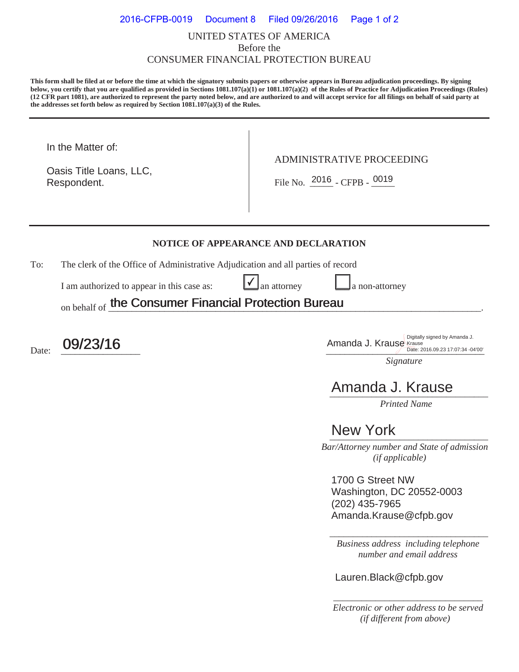### UNITED STATES OF AMERICA Before the CONSUMER FINANCIAL PROTECTION BUREAU 2016-CFPB-0019 Document 8 Filed 09/26/2016 Page 1 of 2

**This form shall be filed at or before the time at which the signatory submits papers or otherwise appears in Bureau adjudication proceedings. By signing below, you certify that you are qualified as provided in Sections 1081.107(a)(1) or 1081.107(a)(2) of the Rules of Practice for Adjudication Proceedings (Rules) (12 CFR part 1081), are authorized to represent the party noted below, and are authorized to and will accept service for all filings on behalf of said party at the addresses set forth below as required by Section 1081.107(a)(3) of the Rules.** 

In the Matter of:

Respondent. Respondent.  $\begin{array}{|c|c|c|c|c|}\n\hline\n\text{File No.} & \text{2016 } - \text{CFPB -} & \text{0019}\n\end{array}$ Oasis Title Loans, LLC,

ADMINISTRATIVE PROCEEDING

#### **NOTICE OF APPEARANCE AND DECLARATION**

 $\checkmark$ 

To: The clerk of the Office of Administrative Adjudication and all parties of record

I am authorized to appear in this case as:  $\Box$  an attorney  $\Box$  a non-attorney

on behalf of the Consumer Financial Protection Bureau the Consumer Financial Protection Bureau

Date:  $\frac{09/23/16}{\frac{\text{Digit: 2016.09.23 }17:07:34-04'00'}{\text{Date: 2016.09.23 }17:07:34-04'00'}}$ Date: 2016.09.23 17:07:34 -04'00'

*Signature* 

# *\_\_\_\_\_\_\_\_\_\_\_\_\_\_\_\_\_\_\_\_\_\_\_\_\_\_\_\_\_\_\_\_\_\_*  Amanda J. Krause

*Printed Name* 

## **New York** 2008

 *Bar/Attorney number and State of admission (if applicable)*

1700 G Street NW Washington, DC 20552-0003 (202) 435-7965 Amanda.Krause@cfpb.gov

*Business address including telephone number and email address* 

\_\_\_\_\_\_\_\_\_\_\_\_\_\_\_\_\_\_\_\_\_\_\_\_\_\_\_\_\_\_\_\_\_\_

Lauren.Black@cfpb.gov

*\_\_\_\_\_\_\_\_\_\_\_\_\_\_\_\_\_\_\_\_\_\_\_\_\_\_\_\_\_\_\_\_ Electronic or other address to be served (if different from above)*